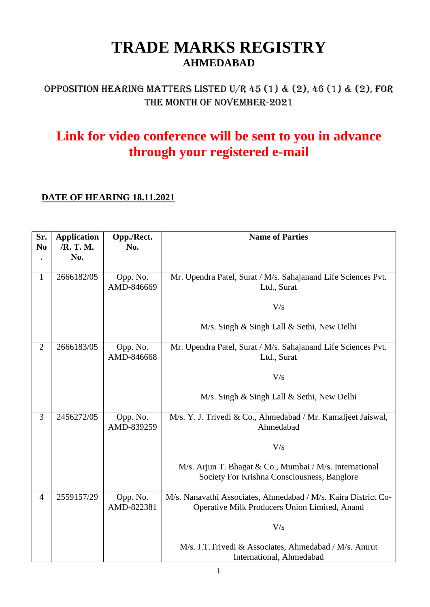### **TRADE MARKS REGISTRY AHMEDABAD**

### OPPOSITION HEARING MATTERS LISTED U/R 45 (1) & (2), 46 (1) & (2), FOR THE MONTH OF NOVEMBER-2021

## **Link for video conference will be sent to you in advance through your registered e-mail**

#### **DATE OF HEARING 18.11.2021**

| Sr.<br>N <sub>0</sub> | <b>Application</b><br>/R. T. M.<br>No. | Opp./Rect.<br>No.      | <b>Name of Parties</b>                                                                                          |
|-----------------------|----------------------------------------|------------------------|-----------------------------------------------------------------------------------------------------------------|
| $\mathbf{1}$          | 2666182/05                             | Opp. No.<br>AMD-846669 | Mr. Upendra Patel, Surat / M/s. Sahajanand Life Sciences Pvt.<br>Ltd., Surat                                    |
|                       |                                        |                        | V/s                                                                                                             |
|                       |                                        |                        | M/s. Singh & Singh Lall & Sethi, New Delhi                                                                      |
| $\overline{2}$        | 2666183/05                             | Opp. No.<br>AMD-846668 | Mr. Upendra Patel, Surat / M/s. Sahajanand Life Sciences Pvt.<br>Ltd., Surat                                    |
|                       |                                        |                        | V/s                                                                                                             |
|                       |                                        |                        | M/s. Singh & Singh Lall & Sethi, New Delhi                                                                      |
| 3                     | 2456272/05                             | Opp. No.<br>AMD-839259 | M/s. Y. J. Trivedi & Co., Ahmedabad / Mr. Kamaljeet Jaiswal,<br>Ahmedabad                                       |
|                       |                                        |                        | V/s                                                                                                             |
|                       |                                        |                        | M/s. Arjun T. Bhagat & Co., Mumbai / M/s. International<br>Society For Krishna Consciousness, Banglore          |
| $\overline{4}$        | 2559157/29                             | Opp. No.<br>AMD-822381 | M/s. Nanavathi Associates, Ahmedabad / M/s. Kaira District Co-<br>Operative Milk Producers Union Limited, Anand |
|                       |                                        |                        | V/s                                                                                                             |
|                       |                                        |                        | M/s. J.T.Trivedi & Associates, Ahmedabad / M/s. Amrut<br>International, Ahmedabad                               |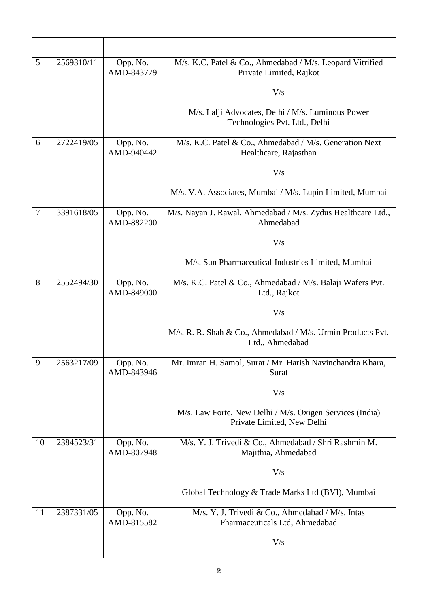| 5              | 2569310/11 | Opp. No.<br>AMD-843779 | M/s. K.C. Patel & Co., Ahmedabad / M/s. Leopard Vitrified<br>Private Limited, Rajkot   |
|----------------|------------|------------------------|----------------------------------------------------------------------------------------|
|                |            |                        | V/s                                                                                    |
|                |            |                        | M/s. Lalji Advocates, Delhi / M/s. Luminous Power<br>Technologies Pvt. Ltd., Delhi     |
| 6              | 2722419/05 | Opp. No.<br>AMD-940442 | M/s. K.C. Patel & Co., Ahmedabad / M/s. Generation Next<br>Healthcare, Rajasthan       |
|                |            |                        | V/s                                                                                    |
|                |            |                        | M/s. V.A. Associates, Mumbai / M/s. Lupin Limited, Mumbai                              |
| $\overline{7}$ | 3391618/05 | Opp. No.<br>AMD-882200 | M/s. Nayan J. Rawal, Ahmedabad / M/s. Zydus Healthcare Ltd.,<br>Ahmedabad              |
|                |            |                        | V/s                                                                                    |
|                |            |                        | M/s. Sun Pharmaceutical Industries Limited, Mumbai                                     |
| 8              | 2552494/30 | Opp. No.<br>AMD-849000 | M/s. K.C. Patel & Co., Ahmedabad / M/s. Balaji Wafers Pvt.<br>Ltd., Rajkot             |
|                |            |                        | V/s                                                                                    |
|                |            |                        | M/s. R. R. Shah & Co., Ahmedabad / M/s. Urmin Products Pvt.<br>Ltd., Ahmedabad         |
| 9              | 2563217/09 | Opp. No.<br>AMD-843946 | Mr. Imran H. Samol, Surat / Mr. Harish Navinchandra Khara,<br>Surat                    |
|                |            |                        | V/s                                                                                    |
|                |            |                        | M/s. Law Forte, New Delhi / M/s. Oxigen Services (India)<br>Private Limited, New Delhi |
| 10             | 2384523/31 | Opp. No.<br>AMD-807948 | M/s. Y. J. Trivedi & Co., Ahmedabad / Shri Rashmin M.<br>Majithia, Ahmedabad           |
|                |            |                        | V/s                                                                                    |
|                |            |                        | Global Technology & Trade Marks Ltd (BVI), Mumbai                                      |
| 11             | 2387331/05 | Opp. No.<br>AMD-815582 | M/s. Y. J. Trivedi & Co., Ahmedabad / M/s. Intas<br>Pharmaceuticals Ltd, Ahmedabad     |
|                |            |                        | V/s                                                                                    |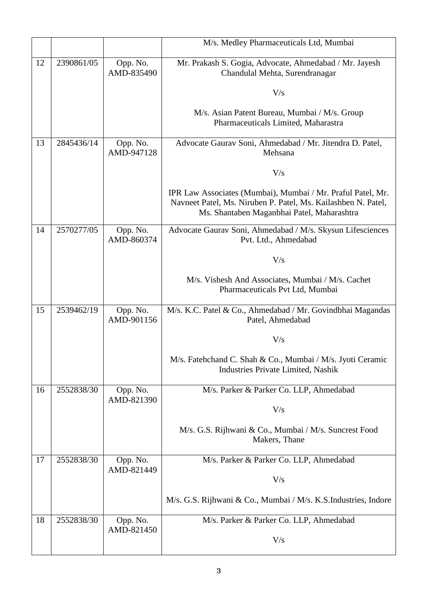|    |            |                        | M/s. Medley Pharmaceuticals Ltd, Mumbai                                                                                                                                    |
|----|------------|------------------------|----------------------------------------------------------------------------------------------------------------------------------------------------------------------------|
| 12 | 2390861/05 | Opp. No.<br>AMD-835490 | Mr. Prakash S. Gogia, Advocate, Ahmedabad / Mr. Jayesh<br>Chandulal Mehta, Surendranagar                                                                                   |
|    |            |                        | V/s                                                                                                                                                                        |
|    |            |                        | M/s. Asian Patent Bureau, Mumbai / M/s. Group<br>Pharmaceuticals Limited, Maharastra                                                                                       |
| 13 | 2845436/14 | Opp. No.<br>AMD-947128 | Advocate Gaurav Soni, Ahmedabad / Mr. Jitendra D. Patel,<br>Mehsana                                                                                                        |
|    |            |                        | V/s                                                                                                                                                                        |
|    |            |                        | IPR Law Associates (Mumbai), Mumbai / Mr. Praful Patel, Mr.<br>Navneet Patel, Ms. Niruben P. Patel, Ms. Kailashben N. Patel,<br>Ms. Shantaben Maganbhai Patel, Maharashtra |
| 14 | 2570277/05 | Opp. No.<br>AMD-860374 | Advocate Gaurav Soni, Ahmedabad / M/s. Skysun Lifesciences<br>Pvt. Ltd., Ahmedabad                                                                                         |
|    |            |                        | V/s                                                                                                                                                                        |
|    |            |                        | M/s. Vishesh And Associates, Mumbai / M/s. Cachet<br>Pharmaceuticals Pvt Ltd, Mumbai                                                                                       |
| 15 | 2539462/19 | Opp. No.<br>AMD-901156 | M/s. K.C. Patel & Co., Ahmedabad / Mr. Govindbhai Magandas<br>Patel, Ahmedabad                                                                                             |
|    |            |                        | V/s                                                                                                                                                                        |
|    |            |                        | M/s. Fatehchand C. Shah & Co., Mumbai / M/s. Jyoti Ceramic<br>Industries Private Limited, Nashik                                                                           |
| 16 | 2552838/30 | Opp. No.<br>AMD-821390 | M/s. Parker & Parker Co. LLP, Ahmedabad                                                                                                                                    |
|    |            |                        | V/s                                                                                                                                                                        |
|    |            |                        | M/s. G.S. Rijhwani & Co., Mumbai / M/s. Suncrest Food<br>Makers, Thane                                                                                                     |
| 17 | 2552838/30 | Opp. No.<br>AMD-821449 | M/s. Parker & Parker Co. LLP, Ahmedabad                                                                                                                                    |
|    |            |                        | V/s                                                                                                                                                                        |
|    |            |                        | M/s. G.S. Rijhwani & Co., Mumbai / M/s. K.S.Industries, Indore                                                                                                             |
| 18 | 2552838/30 | Opp. No.<br>AMD-821450 | M/s. Parker & Parker Co. LLP, Ahmedabad                                                                                                                                    |
|    |            |                        | V/s                                                                                                                                                                        |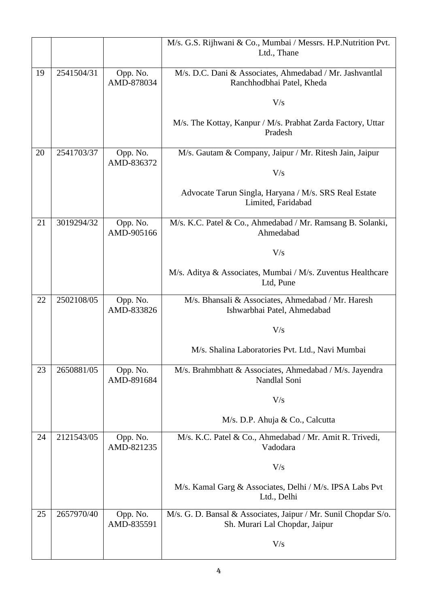|    |            |                        | M/s. G.S. Rijhwani & Co., Mumbai / Messrs. H.P.Nutrition Pvt.                                     |
|----|------------|------------------------|---------------------------------------------------------------------------------------------------|
|    |            |                        | Ltd., Thane                                                                                       |
| 19 | 2541504/31 | Opp. No.<br>AMD-878034 | M/s. D.C. Dani & Associates, Ahmedabad / Mr. Jashvantlal<br>Ranchhodbhai Patel, Kheda             |
|    |            |                        |                                                                                                   |
|    |            |                        | V/s                                                                                               |
|    |            |                        | M/s. The Kottay, Kanpur / M/s. Prabhat Zarda Factory, Uttar<br>Pradesh                            |
| 20 | 2541703/37 | Opp. No.<br>AMD-836372 | M/s. Gautam & Company, Jaipur / Mr. Ritesh Jain, Jaipur                                           |
|    |            |                        | V/s                                                                                               |
|    |            |                        | Advocate Tarun Singla, Haryana / M/s. SRS Real Estate<br>Limited, Faridabad                       |
| 21 | 3019294/32 | Opp. No.<br>AMD-905166 | M/s. K.C. Patel & Co., Ahmedabad / Mr. Ramsang B. Solanki,<br>Ahmedabad                           |
|    |            |                        | V/s                                                                                               |
|    |            |                        | M/s. Aditya & Associates, Mumbai / M/s. Zuventus Healthcare<br>Ltd, Pune                          |
| 22 | 2502108/05 | Opp. No.<br>AMD-833826 | M/s. Bhansali & Associates, Ahmedabad / Mr. Haresh<br>Ishwarbhai Patel, Ahmedabad                 |
|    |            |                        | V/s                                                                                               |
|    |            |                        | M/s. Shalina Laboratories Pvt. Ltd., Navi Mumbai                                                  |
| 23 | 2650881/05 | Opp. No.<br>AMD-891684 | M/s. Brahmbhatt & Associates, Ahmedabad / M/s. Jayendra<br>Nandlal Soni                           |
|    |            |                        | V/s                                                                                               |
|    |            |                        | M/s. D.P. Ahuja & Co., Calcutta                                                                   |
| 24 | 2121543/05 | Opp. No.<br>AMD-821235 | M/s. K.C. Patel & Co., Ahmedabad / Mr. Amit R. Trivedi,<br>Vadodara                               |
|    |            |                        | V/s                                                                                               |
|    |            |                        | M/s. Kamal Garg & Associates, Delhi / M/s. IPSA Labs Pvt<br>Ltd., Delhi                           |
| 25 | 2657970/40 | Opp. No.<br>AMD-835591 | M/s. G. D. Bansal & Associates, Jaipur / Mr. Sunil Chopdar S/o.<br>Sh. Murari Lal Chopdar, Jaipur |
|    |            |                        | V/s                                                                                               |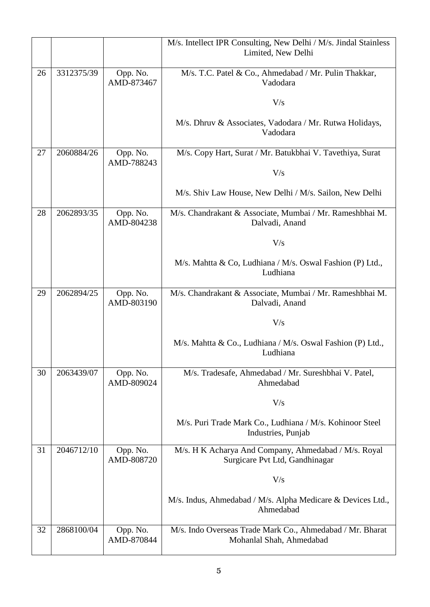|    |            |                        | M/s. Intellect IPR Consulting, New Delhi / M/s. Jindal Stainless<br>Limited, New Delhi |
|----|------------|------------------------|----------------------------------------------------------------------------------------|
| 26 | 3312375/39 | Opp. No.<br>AMD-873467 | M/s. T.C. Patel & Co., Ahmedabad / Mr. Pulin Thakkar,<br>Vadodara                      |
|    |            |                        | V/s                                                                                    |
|    |            |                        | M/s. Dhruv & Associates, Vadodara / Mr. Rutwa Holidays,<br>Vadodara                    |
| 27 | 2060884/26 | Opp. No.<br>AMD-788243 | M/s. Copy Hart, Surat / Mr. Batukbhai V. Tavethiya, Surat                              |
|    |            |                        | V/s                                                                                    |
|    |            |                        | M/s. Shiv Law House, New Delhi / M/s. Sailon, New Delhi                                |
| 28 | 2062893/35 | Opp. No.<br>AMD-804238 | M/s. Chandrakant & Associate, Mumbai / Mr. Rameshbhai M.<br>Dalvadi, Anand             |
|    |            |                        | V/s                                                                                    |
|    |            |                        | M/s. Mahtta & Co, Ludhiana / M/s. Oswal Fashion (P) Ltd.,<br>Ludhiana                  |
| 29 | 2062894/25 | Opp. No.<br>AMD-803190 | M/s. Chandrakant & Associate, Mumbai / Mr. Rameshbhai M.<br>Dalvadi, Anand             |
|    |            |                        | V/s                                                                                    |
|    |            |                        | M/s. Mahtta & Co., Ludhiana / M/s. Oswal Fashion (P) Ltd.,<br>Ludhiana                 |
| 30 | 2063439/07 | Opp. No.<br>AMD-809024 | M/s. Tradesafe, Ahmedabad / Mr. Sureshbhai V. Patel,<br>Ahmedabad                      |
|    |            |                        | V/s                                                                                    |
|    |            |                        | M/s. Puri Trade Mark Co., Ludhiana / M/s. Kohinoor Steel<br>Industries, Punjab         |
| 31 | 2046712/10 | Opp. No.<br>AMD-808720 | M/s. H K Acharya And Company, Ahmedabad / M/s. Royal<br>Surgicare Pvt Ltd, Gandhinagar |
|    |            |                        | V/s                                                                                    |
|    |            |                        | M/s. Indus, Ahmedabad / M/s. Alpha Medicare & Devices Ltd.,<br>Ahmedabad               |
| 32 | 2868100/04 | Opp. No.<br>AMD-870844 | M/s. Indo Overseas Trade Mark Co., Ahmedabad / Mr. Bharat<br>Mohanlal Shah, Ahmedabad  |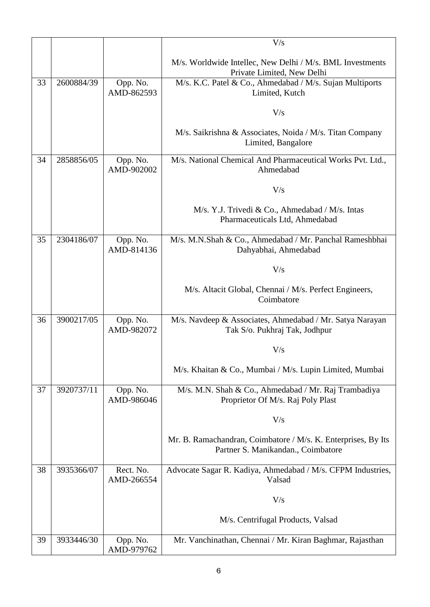|    |            |                         | V/s                                                                                                 |
|----|------------|-------------------------|-----------------------------------------------------------------------------------------------------|
|    |            |                         |                                                                                                     |
|    |            |                         | M/s. Worldwide Intellec, New Delhi / M/s. BML Investments<br>Private Limited, New Delhi             |
| 33 | 2600884/39 | Opp. No.<br>AMD-862593  | M/s. K.C. Patel & Co., Ahmedabad / M/s. Sujan Multiports<br>Limited, Kutch                          |
|    |            |                         | V/s                                                                                                 |
|    |            |                         | M/s. Saikrishna & Associates, Noida / M/s. Titan Company<br>Limited, Bangalore                      |
| 34 | 2858856/05 | Opp. No.<br>AMD-902002  | M/s. National Chemical And Pharmaceutical Works Pvt. Ltd.,<br>Ahmedabad                             |
|    |            |                         | V/s                                                                                                 |
|    |            |                         | M/s. Y.J. Trivedi & Co., Ahmedabad / M/s. Intas<br>Pharmaceuticals Ltd, Ahmedabad                   |
| 35 | 2304186/07 | Opp. No.<br>AMD-814136  | M/s. M.N.Shah & Co., Ahmedabad / Mr. Panchal Rameshbhai<br>Dahyabhai, Ahmedabad                     |
|    |            |                         | V/s                                                                                                 |
|    |            |                         | M/s. Altacit Global, Chennai / M/s. Perfect Engineers,<br>Coimbatore                                |
| 36 | 3900217/05 | Opp. No.<br>AMD-982072  | M/s. Navdeep & Associates, Ahmedabad / Mr. Satya Narayan<br>Tak S/o. Pukhraj Tak, Jodhpur           |
|    |            |                         | V/s                                                                                                 |
|    |            |                         | M/s. Khaitan & Co., Mumbai / M/s. Lupin Limited, Mumbai                                             |
| 37 | 3920737/11 | Opp. No.<br>AMD-986046  | M/s. M.N. Shah & Co., Ahmedabad / Mr. Raj Trambadiya<br>Proprietor Of M/s. Raj Poly Plast           |
|    |            |                         | V/s                                                                                                 |
|    |            |                         | Mr. B. Ramachandran, Coimbatore / M/s. K. Enterprises, By Its<br>Partner S. Manikandan., Coimbatore |
| 38 | 3935366/07 | Rect. No.<br>AMD-266554 | Advocate Sagar R. Kadiya, Ahmedabad / M/s. CFPM Industries,<br>Valsad                               |
|    |            |                         | V/s                                                                                                 |
|    |            |                         | M/s. Centrifugal Products, Valsad                                                                   |
| 39 | 3933446/30 | Opp. No.<br>AMD-979762  | Mr. Vanchinathan, Chennai / Mr. Kiran Baghmar, Rajasthan                                            |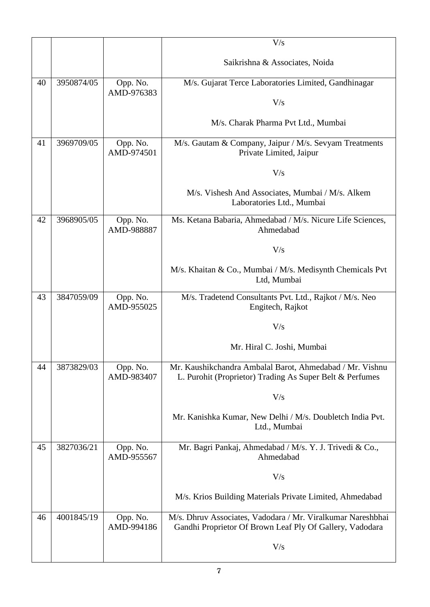|    |            |                        | V/s                                                                                                                     |
|----|------------|------------------------|-------------------------------------------------------------------------------------------------------------------------|
|    |            |                        |                                                                                                                         |
|    |            |                        | Saikrishna & Associates, Noida                                                                                          |
| 40 | 3950874/05 | Opp. No.               | M/s. Gujarat Terce Laboratories Limited, Gandhinagar                                                                    |
|    |            | AMD-976383             | V/s                                                                                                                     |
|    |            |                        | M/s. Charak Pharma Pvt Ltd., Mumbai                                                                                     |
| 41 | 3969709/05 | Opp. No.<br>AMD-974501 | M/s. Gautam & Company, Jaipur / M/s. Sevyam Treatments<br>Private Limited, Jaipur                                       |
|    |            |                        | V/s                                                                                                                     |
|    |            |                        | M/s. Vishesh And Associates, Mumbai / M/s. Alkem<br>Laboratories Ltd., Mumbai                                           |
| 42 | 3968905/05 | Opp. No.<br>AMD-988887 | Ms. Ketana Babaria, Ahmedabad / M/s. Nicure Life Sciences,<br>Ahmedabad                                                 |
|    |            |                        | V/s                                                                                                                     |
|    |            |                        | M/s. Khaitan & Co., Mumbai / M/s. Medisynth Chemicals Pvt<br>Ltd, Mumbai                                                |
| 43 | 3847059/09 | Opp. No.<br>AMD-955025 | M/s. Tradetend Consultants Pvt. Ltd., Rajkot / M/s. Neo<br>Engitech, Rajkot                                             |
|    |            |                        | V/s                                                                                                                     |
|    |            |                        | Mr. Hiral C. Joshi, Mumbai                                                                                              |
| 44 | 3873829/03 | Opp. No.<br>AMD-983407 | Mr. Kaushikchandra Ambalal Barot, Ahmedabad / Mr. Vishnu<br>L. Purohit (Proprietor) Trading As Super Belt & Perfumes    |
|    |            |                        | V/s                                                                                                                     |
|    |            |                        | Mr. Kanishka Kumar, New Delhi / M/s. Doubletch India Pvt.<br>Ltd., Mumbai                                               |
| 45 | 3827036/21 | Opp. No.<br>AMD-955567 | Mr. Bagri Pankaj, Ahmedabad / M/s. Y. J. Trivedi & Co.,<br>Ahmedabad                                                    |
|    |            |                        | V/s                                                                                                                     |
|    |            |                        | M/s. Krios Building Materials Private Limited, Ahmedabad                                                                |
| 46 | 4001845/19 | Opp. No.<br>AMD-994186 | M/s. Dhruv Associates, Vadodara / Mr. Viralkumar Nareshbhai<br>Gandhi Proprietor Of Brown Leaf Ply Of Gallery, Vadodara |
|    |            |                        | V/s                                                                                                                     |
|    |            |                        |                                                                                                                         |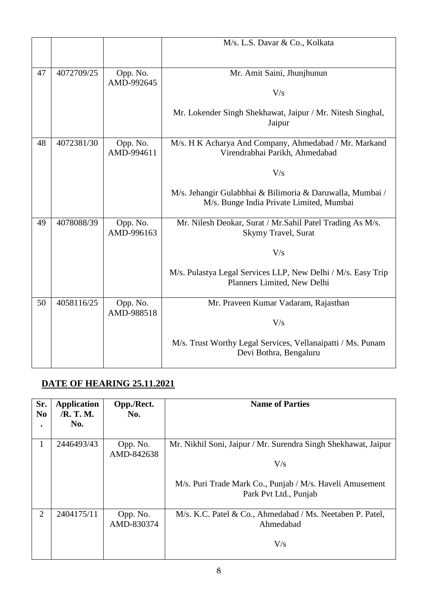|    |            |                        | M/s. L.S. Davar & Co., Kolkata                                                                        |
|----|------------|------------------------|-------------------------------------------------------------------------------------------------------|
|    |            |                        |                                                                                                       |
| 47 | 4072709/25 | Opp. No.<br>AMD-992645 | Mr. Amit Saini, Jhunjhunun                                                                            |
|    |            |                        | V/s                                                                                                   |
|    |            |                        | Mr. Lokender Singh Shekhawat, Jaipur / Mr. Nitesh Singhal,<br>Jaipur                                  |
| 48 | 4072381/30 | Opp. No.<br>AMD-994611 | M/s. H K Acharya And Company, Ahmedabad / Mr. Markand<br>Virendrabhai Parikh, Ahmedabad               |
|    |            |                        | V/s                                                                                                   |
|    |            |                        | M/s. Jehangir Gulabbhai & Bilimoria & Daruwalla, Mumbai /<br>M/s. Bunge India Private Limited, Mumbai |
| 49 | 4078088/39 | Opp. No.<br>AMD-996163 | Mr. Nilesh Deokar, Surat / Mr. Sahil Patel Trading As M/s.<br>Skymy Travel, Surat                     |
|    |            |                        | V/s                                                                                                   |
|    |            |                        | M/s. Pulastya Legal Services LLP, New Delhi / M/s. Easy Trip<br>Planners Limited, New Delhi           |
| 50 | 4058116/25 | Opp. No.<br>AMD-988518 | Mr. Praveen Kumar Vadaram, Rajasthan                                                                  |
|    |            |                        | V/s                                                                                                   |
|    |            |                        | M/s. Trust Worthy Legal Services, Vellanaipatti / Ms. Punam<br>Devi Bothra, Bengaluru                 |

### **DATE OF HEARING 25.11.2021**

| Sr.<br>N <sub>0</sub> | <b>Application</b><br>/R. T. M. | Opp./Rect.<br>No.      | <b>Name of Parties</b>                                                            |
|-----------------------|---------------------------------|------------------------|-----------------------------------------------------------------------------------|
|                       | No.                             |                        |                                                                                   |
|                       | 2446493/43                      | Opp. No.<br>AMD-842638 | Mr. Nikhil Soni, Jaipur / Mr. Surendra Singh Shekhawat, Jaipur                    |
|                       |                                 |                        | V/s                                                                               |
|                       |                                 |                        | M/s. Puri Trade Mark Co., Punjab / M/s. Haveli Amusement<br>Park Pvt Ltd., Punjab |
| 2                     | 2404175/11                      | Opp. No.<br>AMD-830374 | $M/s$ . K.C. Patel & Co., Ahmedabad / Ms. Neetaben P. Patel,<br>Ahmedabad         |
|                       |                                 |                        | V/s                                                                               |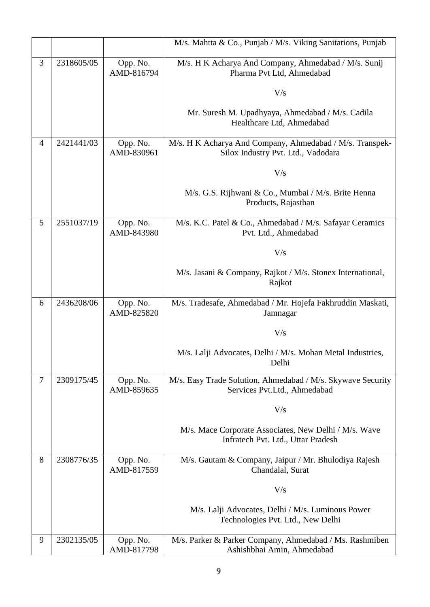|                |            |                        | M/s. Mahtta & Co., Punjab / M/s. Viking Sanitations, Punjab                                    |
|----------------|------------|------------------------|------------------------------------------------------------------------------------------------|
| 3              | 2318605/05 | Opp. No.<br>AMD-816794 | M/s. H K Acharya And Company, Ahmedabad / M/s. Sunij<br>Pharma Pvt Ltd, Ahmedabad              |
|                |            |                        | V/s                                                                                            |
|                |            |                        | Mr. Suresh M. Upadhyaya, Ahmedabad / M/s. Cadila<br>Healthcare Ltd, Ahmedabad                  |
| $\overline{4}$ | 2421441/03 | Opp. No.<br>AMD-830961 | M/s. H K Acharya And Company, Ahmedabad / M/s. Transpek-<br>Silox Industry Pvt. Ltd., Vadodara |
|                |            |                        | V/s                                                                                            |
|                |            |                        | M/s. G.S. Rijhwani & Co., Mumbai / M/s. Brite Henna<br>Products, Rajasthan                     |
| 5              | 2551037/19 | Opp. No.<br>AMD-843980 | M/s. K.C. Patel & Co., Ahmedabad / M/s. Safayar Ceramics<br>Pvt. Ltd., Ahmedabad               |
|                |            |                        | V/s                                                                                            |
|                |            |                        | M/s. Jasani & Company, Rajkot / M/s. Stonex International,<br>Rajkot                           |
| 6              | 2436208/06 | Opp. No.<br>AMD-825820 | M/s. Tradesafe, Ahmedabad / Mr. Hojefa Fakhruddin Maskati,<br>Jamnagar                         |
|                |            |                        | V/s                                                                                            |
|                |            |                        | M/s. Lalji Advocates, Delhi / M/s. Mohan Metal Industries,<br>Delhi                            |
| $\tau$         | 2309175/45 | Opp. No.<br>AMD-859635 | M/s. Easy Trade Solution, Ahmedabad / M/s. Skywave Security<br>Services Pvt.Ltd., Ahmedabad    |
|                |            |                        | V/s                                                                                            |
|                |            |                        | M/s. Mace Corporate Associates, New Delhi / M/s. Wave<br>Infratech Pvt. Ltd., Uttar Pradesh    |
| 8              | 2308776/35 | Opp. No.<br>AMD-817559 | M/s. Gautam & Company, Jaipur / Mr. Bhulodiya Rajesh<br>Chandalal, Surat                       |
|                |            |                        | V/s                                                                                            |
|                |            |                        | M/s. Lalji Advocates, Delhi / M/s. Luminous Power<br>Technologies Pvt. Ltd., New Delhi         |
| 9              | 2302135/05 | Opp. No.<br>AMD-817798 | M/s. Parker & Parker Company, Ahmedabad / Ms. Rashmiben<br>Ashishbhai Amin, Ahmedabad          |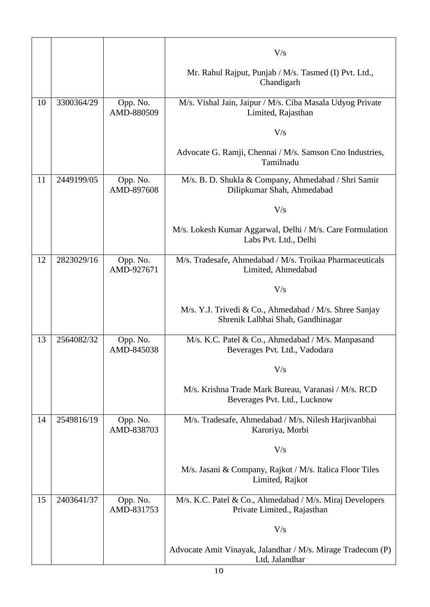|    |            |                        | V/s                                                                                         |
|----|------------|------------------------|---------------------------------------------------------------------------------------------|
|    |            |                        | Mr. Rahul Rajput, Punjab / M/s. Tasmed (I) Pvt. Ltd.,<br>Chandigarh                         |
| 10 | 3300364/29 | Opp. No.<br>AMD-880509 | M/s. Vishal Jain, Jaipur / M/s. Ciba Masala Udyog Private<br>Limited, Rajasthan             |
|    |            |                        | V/s                                                                                         |
|    |            |                        | Advocate G. Ramji, Chennai / M/s. Samson Cno Industries,<br>Tamilnadu                       |
| 11 | 2449199/05 | Opp. No.<br>AMD-897608 | M/s. B. D. Shukla & Company, Ahmedabad / Shri Samir<br>Dilipkumar Shah, Ahmedabad           |
|    |            |                        | V/s                                                                                         |
|    |            |                        | M/s. Lokesh Kumar Aggarwal, Delhi / M/s. Care Formulation<br>Labs Pvt. Ltd., Delhi          |
| 12 | 2823029/16 | Opp. No.<br>AMD-927671 | M/s. Tradesafe, Ahmedabad / M/s. Troikaa Pharmaceuticals<br>Limited, Ahmedabad              |
|    |            |                        | V/s                                                                                         |
|    |            |                        | M/s. Y.J. Trivedi & Co., Ahmedabad / M/s. Shree Sanjay<br>Shrenik Lalbhai Shah, Gandhinagar |
| 13 | 2564082/32 | Opp. No.<br>AMD-845038 | M/s. K.C. Patel & Co., Ahmedabad / M/s. Manpasand<br>Beverages Pvt. Ltd., Vadodara          |
|    |            |                        | V/s                                                                                         |
|    |            |                        | M/s. Krishna Trade Mark Bureau, Varanasi / M/s. RCD<br>Beverages Pvt. Ltd., Lucknow         |
| 14 | 2549816/19 | Opp. No.<br>AMD-838703 | M/s. Tradesafe, Ahmedabad / M/s. Nilesh Harjivanbhai<br>Karoriya, Morbi                     |
|    |            |                        | V/s                                                                                         |
|    |            |                        | M/s. Jasani & Company, Rajkot / M/s. Italica Floor Tiles<br>Limited, Rajkot                 |
| 15 | 2403641/37 | Opp. No.<br>AMD-831753 | M/s. K.C. Patel & Co., Ahmedabad / M/s. Miraj Developers<br>Private Limited., Rajasthan     |
|    |            |                        | V/s                                                                                         |
|    |            |                        | Advocate Amit Vinayak, Jalandhar / M/s. Mirage Tradecom (P)<br>Ltd, Jalandhar               |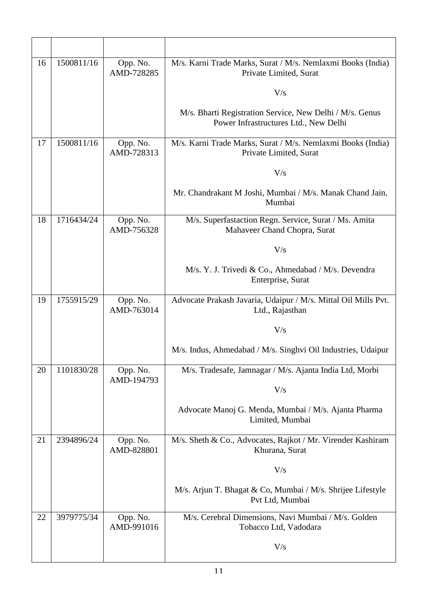| 16 | 1500811/16 | Opp. No.<br>AMD-728285 | M/s. Karni Trade Marks, Surat / M/s. Nemlaxmi Books (India)<br>Private Limited, Surat             |
|----|------------|------------------------|---------------------------------------------------------------------------------------------------|
|    |            |                        | V/s                                                                                               |
|    |            |                        | M/s. Bharti Registration Service, New Delhi / M/s. Genus<br>Power Infrastructures Ltd., New Delhi |
| 17 | 1500811/16 | Opp. No.<br>AMD-728313 | M/s. Karni Trade Marks, Surat / M/s. Nemlaxmi Books (India)<br>Private Limited, Surat             |
|    |            |                        | V/s                                                                                               |
|    |            |                        | Mr. Chandrakant M Joshi, Mumbai / M/s. Manak Chand Jain,<br>Mumbai                                |
| 18 | 1716434/24 | Opp. No.<br>AMD-756328 | M/s. Superfastaction Regn. Service, Surat / Ms. Amita<br>Mahaveer Chand Chopra, Surat             |
|    |            |                        | V/s                                                                                               |
|    |            |                        | M/s. Y. J. Trivedi & Co., Ahmedabad / M/s. Devendra<br>Enterprise, Surat                          |
| 19 | 1755915/29 | Opp. No.<br>AMD-763014 | Advocate Prakash Javaria, Udaipur / M/s. Mittal Oil Mills Pvt.<br>Ltd., Rajasthan                 |
|    |            |                        | V/s                                                                                               |
|    |            |                        | M/s. Indus, Ahmedabad / M/s. Singhvi Oil Industries, Udaipur                                      |
| 20 | 1101830/28 | Opp. No.<br>AMD-194793 | M/s. Tradesafe, Jamnagar / M/s. Ajanta India Ltd, Morbi                                           |
|    |            |                        | V/s                                                                                               |
|    |            |                        | Advocate Manoj G. Menda, Mumbai / M/s. Ajanta Pharma<br>Limited, Mumbai                           |
| 21 | 2394896/24 | Opp. No.<br>AMD-828801 | M/s. Sheth & Co., Advocates, Rajkot / Mr. Virender Kashiram<br>Khurana, Surat                     |
|    |            |                        | V/s                                                                                               |
|    |            |                        | M/s. Arjun T. Bhagat & Co, Mumbai / M/s. Shrijee Lifestyle<br>Pvt Ltd, Mumbai                     |
| 22 | 3979775/34 | Opp. No.<br>AMD-991016 | M/s. Cerebral Dimensions, Navi Mumbai / M/s. Golden<br>Tobacco Ltd, Vadodara                      |
|    |            |                        | V/s                                                                                               |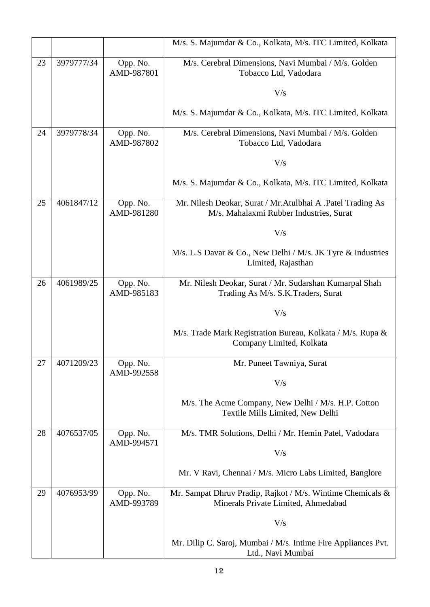|    |            |                        | M/s. S. Majumdar & Co., Kolkata, M/s. ITC Limited, Kolkata                                              |
|----|------------|------------------------|---------------------------------------------------------------------------------------------------------|
| 23 | 3979777/34 | Opp. No.<br>AMD-987801 | M/s. Cerebral Dimensions, Navi Mumbai / M/s. Golden<br>Tobacco Ltd, Vadodara                            |
|    |            |                        | V/s                                                                                                     |
|    |            |                        | M/s. S. Majumdar & Co., Kolkata, M/s. ITC Limited, Kolkata                                              |
| 24 | 3979778/34 | Opp. No.<br>AMD-987802 | M/s. Cerebral Dimensions, Navi Mumbai / M/s. Golden<br>Tobacco Ltd, Vadodara                            |
|    |            |                        | V/s                                                                                                     |
|    |            |                        | M/s. S. Majumdar & Co., Kolkata, M/s. ITC Limited, Kolkata                                              |
| 25 | 4061847/12 | Opp. No.<br>AMD-981280 | Mr. Nilesh Deokar, Surat / Mr. Atulbhai A . Patel Trading As<br>M/s. Mahalaxmi Rubber Industries, Surat |
|    |            |                        | V/s                                                                                                     |
|    |            |                        | M/s. L.S Davar & Co., New Delhi / M/s. JK Tyre & Industries<br>Limited, Rajasthan                       |
| 26 | 4061989/25 | Opp. No.<br>AMD-985183 | Mr. Nilesh Deokar, Surat / Mr. Sudarshan Kumarpal Shah<br>Trading As M/s. S.K.Traders, Surat            |
|    |            |                        | V/s                                                                                                     |
|    |            |                        | M/s. Trade Mark Registration Bureau, Kolkata / M/s. Rupa &<br>Company Limited, Kolkata                  |
| 27 | 4071209/23 | Opp. No.<br>AMD-992558 | Mr. Puneet Tawniya, Surat                                                                               |
|    |            |                        | V/s                                                                                                     |
|    |            |                        | M/s. The Acme Company, New Delhi / M/s. H.P. Cotton<br>Textile Mills Limited, New Delhi                 |
| 28 | 4076537/05 | Opp. No.<br>AMD-994571 | M/s. TMR Solutions, Delhi / Mr. Hemin Patel, Vadodara                                                   |
|    |            |                        | V/s                                                                                                     |
|    |            |                        | Mr. V Ravi, Chennai / M/s. Micro Labs Limited, Banglore                                                 |
| 29 | 4076953/99 | Opp. No.<br>AMD-993789 | Mr. Sampat Dhruv Pradip, Rajkot / M/s. Wintime Chemicals &<br>Minerals Private Limited, Ahmedabad       |
|    |            |                        | V/s                                                                                                     |
|    |            |                        | Mr. Dilip C. Saroj, Mumbai / M/s. Intime Fire Appliances Pvt.<br>Ltd., Navi Mumbai                      |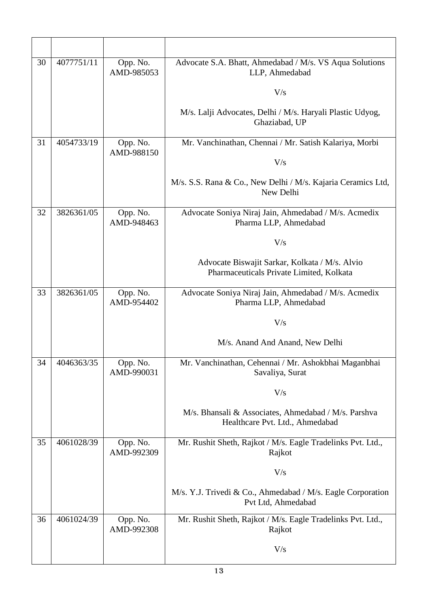| 30 | 4077751/11 | Opp. No.<br>AMD-985053 | Advocate S.A. Bhatt, Ahmedabad / M/s. VS Aqua Solutions<br>LLP, Ahmedabad                  |
|----|------------|------------------------|--------------------------------------------------------------------------------------------|
|    |            |                        | V/s                                                                                        |
|    |            |                        | M/s. Lalji Advocates, Delhi / M/s. Haryali Plastic Udyog,<br>Ghaziabad, UP                 |
| 31 | 4054733/19 | Opp. No.<br>AMD-988150 | Mr. Vanchinathan, Chennai / Mr. Satish Kalariya, Morbi                                     |
|    |            |                        | V/s                                                                                        |
|    |            |                        | M/s. S.S. Rana & Co., New Delhi / M/s. Kajaria Ceramics Ltd,<br>New Delhi                  |
| 32 | 3826361/05 | Opp. No.<br>AMD-948463 | Advocate Soniya Niraj Jain, Ahmedabad / M/s. Acmedix<br>Pharma LLP, Ahmedabad              |
|    |            |                        | V/s                                                                                        |
|    |            |                        | Advocate Biswajit Sarkar, Kolkata / M/s. Alvio<br>Pharmaceuticals Private Limited, Kolkata |
| 33 | 3826361/05 | Opp. No.<br>AMD-954402 | Advocate Soniya Niraj Jain, Ahmedabad / M/s. Acmedix<br>Pharma LLP, Ahmedabad              |
|    |            |                        | V/s                                                                                        |
|    |            |                        | M/s. Anand And Anand, New Delhi                                                            |
| 34 | 4046363/35 | Opp. No.<br>AMD-990031 | Mr. Vanchinathan, Cehennai / Mr. Ashokbhai Maganbhai<br>Savaliya, Surat                    |
|    |            |                        | V/s                                                                                        |
|    |            |                        | M/s. Bhansali & Associates, Ahmedabad / M/s. Parshva<br>Healthcare Pvt. Ltd., Ahmedabad    |
| 35 | 4061028/39 | Opp. No.<br>AMD-992309 | Mr. Rushit Sheth, Rajkot / M/s. Eagle Tradelinks Pvt. Ltd.,<br>Rajkot                      |
|    |            |                        | V/s                                                                                        |
|    |            |                        | M/s. Y.J. Trivedi & Co., Ahmedabad / M/s. Eagle Corporation<br>Pvt Ltd, Ahmedabad          |
| 36 | 4061024/39 | Opp. No.<br>AMD-992308 | Mr. Rushit Sheth, Rajkot / M/s. Eagle Tradelinks Pvt. Ltd.,<br>Rajkot                      |
|    |            |                        | V/s                                                                                        |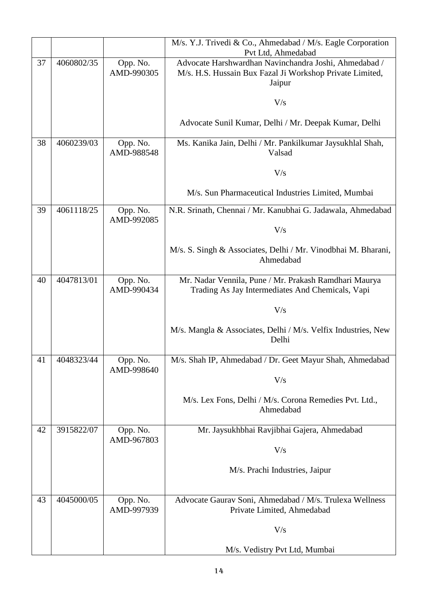|    |            |                        | M/s. Y.J. Trivedi & Co., Ahmedabad / M/s. Eagle Corporation<br>Pvt Ltd, Ahmedabad                                           |
|----|------------|------------------------|-----------------------------------------------------------------------------------------------------------------------------|
| 37 | 4060802/35 | Opp. No.<br>AMD-990305 | Advocate Harshwardhan Navinchandra Joshi, Ahmedabad /<br>M/s. H.S. Hussain Bux Fazal Ji Workshop Private Limited,<br>Jaipur |
|    |            |                        | V/s                                                                                                                         |
|    |            |                        | Advocate Sunil Kumar, Delhi / Mr. Deepak Kumar, Delhi                                                                       |
| 38 | 4060239/03 | Opp. No.<br>AMD-988548 | Ms. Kanika Jain, Delhi / Mr. Pankilkumar Jaysukhlal Shah,<br>Valsad                                                         |
|    |            |                        | V/s                                                                                                                         |
|    |            |                        | M/s. Sun Pharmaceutical Industries Limited, Mumbai                                                                          |
| 39 | 4061118/25 | Opp. No.<br>AMD-992085 | N.R. Srinath, Chennai / Mr. Kanubhai G. Jadawala, Ahmedabad                                                                 |
|    |            |                        | V/s                                                                                                                         |
|    |            |                        | M/s. S. Singh & Associates, Delhi / Mr. Vinodbhai M. Bharani,<br>Ahmedabad                                                  |
| 40 | 4047813/01 | Opp. No.<br>AMD-990434 | Mr. Nadar Vennila, Pune / Mr. Prakash Ramdhari Maurya<br>Trading As Jay Intermediates And Chemicals, Vapi                   |
|    |            |                        | V/s                                                                                                                         |
|    |            |                        | M/s. Mangla & Associates, Delhi / M/s. Velfix Industries, New<br>Delhi                                                      |
| 41 | 4048323/44 | Opp. No.<br>AMD-998640 | M/s. Shah IP, Ahmedabad / Dr. Geet Mayur Shah, Ahmedabad                                                                    |
|    |            |                        | V/s                                                                                                                         |
|    |            |                        | M/s. Lex Fons, Delhi / M/s. Corona Remedies Pvt. Ltd.,<br>Ahmedabad                                                         |
| 42 | 3915822/07 | Opp. No.<br>AMD-967803 | Mr. Jaysukhbhai Ravjibhai Gajera, Ahmedabad                                                                                 |
|    |            |                        | V/s                                                                                                                         |
|    |            |                        | M/s. Prachi Industries, Jaipur                                                                                              |
| 43 | 4045000/05 | Opp. No.               | Advocate Gaurav Soni, Ahmedabad / M/s. Trulexa Wellness                                                                     |
|    |            | AMD-997939             | Private Limited, Ahmedabad                                                                                                  |
|    |            |                        | V/s                                                                                                                         |
|    |            |                        | M/s. Vedistry Pvt Ltd, Mumbai                                                                                               |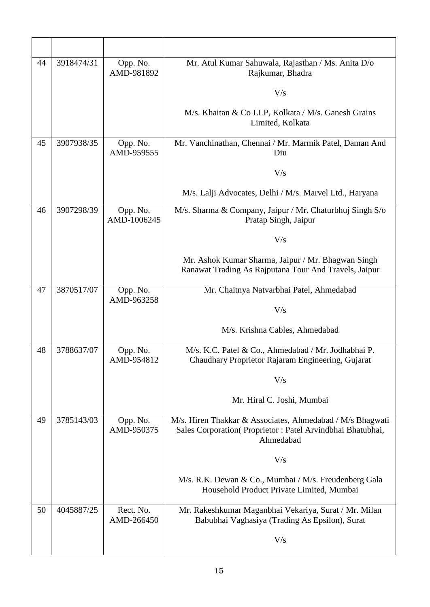| 44 | 3918474/31 | Opp. No.<br>AMD-981892  | Mr. Atul Kumar Sahuwala, Rajasthan / Ms. Anita D/o<br>Rajkumar, Bhadra                                                              |
|----|------------|-------------------------|-------------------------------------------------------------------------------------------------------------------------------------|
|    |            |                         | V/s                                                                                                                                 |
|    |            |                         | M/s. Khaitan & Co LLP, Kolkata / M/s. Ganesh Grains<br>Limited, Kolkata                                                             |
| 45 | 3907938/35 | Opp. No.<br>AMD-959555  | Mr. Vanchinathan, Chennai / Mr. Marmik Patel, Daman And<br>Diu                                                                      |
|    |            |                         | V/s                                                                                                                                 |
|    |            |                         | M/s. Lalji Advocates, Delhi / M/s. Marvel Ltd., Haryana                                                                             |
| 46 | 3907298/39 | Opp. No.<br>AMD-1006245 | M/s. Sharma & Company, Jaipur / Mr. Chaturbhuj Singh S/o<br>Pratap Singh, Jaipur                                                    |
|    |            |                         | V/s                                                                                                                                 |
|    |            |                         | Mr. Ashok Kumar Sharma, Jaipur / Mr. Bhagwan Singh<br>Ranawat Trading As Rajputana Tour And Travels, Jaipur                         |
| 47 | 3870517/07 | Opp. No.<br>AMD-963258  | Mr. Chaitnya Natvarbhai Patel, Ahmedabad                                                                                            |
|    |            |                         | V/s                                                                                                                                 |
|    |            |                         | M/s. Krishna Cables, Ahmedabad                                                                                                      |
| 48 | 3788637/07 | Opp. No.<br>AMD-954812  | M/s. K.C. Patel & Co., Ahmedabad / Mr. Jodhabhai P.<br>Chaudhary Proprietor Rajaram Engineering, Gujarat                            |
|    |            |                         | V/s                                                                                                                                 |
|    |            |                         | Mr. Hiral C. Joshi, Mumbai                                                                                                          |
| 49 | 3785143/03 | Opp. No.<br>AMD-950375  | M/s. Hiren Thakkar & Associates, Ahmedabad / M/s Bhagwati<br>Sales Corporation(Proprietor: Patel Arvindbhai Bhatubhai,<br>Ahmedabad |
|    |            |                         | V/s                                                                                                                                 |
|    |            |                         | M/s. R.K. Dewan & Co., Mumbai / M/s. Freudenberg Gala<br>Household Product Private Limited, Mumbai                                  |
| 50 | 4045887/25 | Rect. No.<br>AMD-266450 | Mr. Rakeshkumar Maganbhai Vekariya, Surat / Mr. Milan<br>Babubhai Vaghasiya (Trading As Epsilon), Surat                             |
|    |            |                         | V/s                                                                                                                                 |